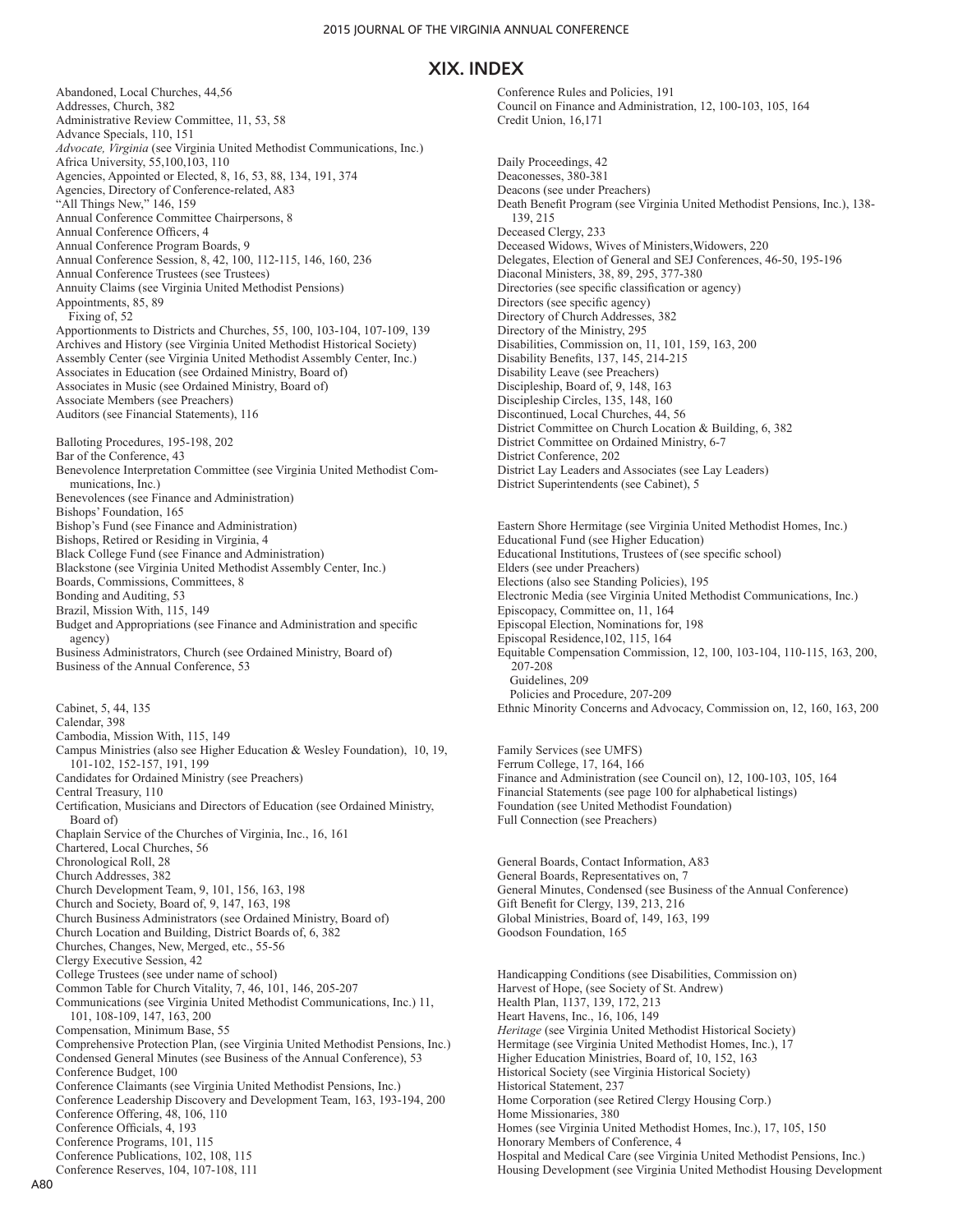Abandoned, Local Churches, 44,56 Addresses, Church, 382 Administrative Review Committee, 11, 53, 58 Advance Specials, 110, 151 *Advocate, Virginia* (see Virginia United Methodist Communications, Inc.) Africa University, 55,100,103, 110 Agencies, Appointed or Elected, 8, 16, 53, 88, 134, 191, 374 Agencies, Directory of Conference-related, A83 "All Things New," 146, 159 Annual Conference Committee Chairpersons, 8 Annual Conference Officers, 4 Annual Conference Program Boards, 9 Annual Conference Session, 8, 42, 100, 112-115, 146, 160, 236 Annual Conference Trustees (see Trustees) Annuity Claims (see Virginia United Methodist Pensions) Appointments, 85, 89 Fixing of, 52 Apportionments to Districts and Churches, 55, 100, 103-104, 107-109, 139 Archives and History (see Virginia United Methodist Historical Society) Assembly Center (see Virginia United Methodist Assembly Center, Inc.) Associates in Education (see Ordained Ministry, Board of) Associates in Music (see Ordained Ministry, Board of) Associate Members (see Preachers) Auditors (see Financial Statements), 116 Balloting Procedures, 195-198, 202 Bar of the Conference, 43 Benevolence Interpretation Committee (see Virginia United Methodist Communications, Inc.) Benevolences (see Finance and Administration) Bishops' Foundation, 165 Bishop's Fund (see Finance and Administration) Bishops, Retired or Residing in Virginia, 4 Black College Fund (see Finance and Administration) Blackstone (see Virginia United Methodist Assembly Center, Inc.) Boards, Commissions, Committees, 8 Bonding and Auditing, 53 Brazil, Mission With, 115, 149 Budget and Appropriations (see Finance and Administration and specific agency) Business Administrators, Church (see Ordained Ministry, Board of) Business of the Annual Conference, 53 Cabinet, 5, 44, 135 Calendar, 398 Cambodia, Mission With, 115, 149 Campus Ministries (also see Higher Education & Wesley Foundation), 10, 19, 101-102, 152-157, 191, 199 Candidates for Ordained Ministry (see Preachers) Central Treasury, 110 Certification, Musicians and Directors of Education (see Ordained Ministry, Board of) Chaplain Service of the Churches of Virginia, Inc., 16, 161 Chartered, Local Churches, 56 Chronological Roll, 28 Church Addresses, 382 Church Development Team, 9, 101, 156, 163, 198 Church and Society, Board of, 9, 147, 163, 198 Church Business Administrators (see Ordained Ministry, Board of) Church Location and Building, District Boards of, 6, 382 Churches, Changes, New, Merged, etc., 55-56 Clergy Executive Session, 42 College Trustees (see under name of school) Common Table for Church Vitality, 7, 46, 101, 146, 205-207 Communications (see Virginia United Methodist Communications, Inc.) 11, 101, 108-109, 147, 163, 200 Compensation, Minimum Base, 55 Comprehensive Protection Plan, (see Virginia United Methodist Pensions, Inc.) Condensed General Minutes (see Business of the Annual Conference), 53 Conference Budget, 100 Conference Claimants (see Virginia United Methodist Pensions, Inc.) Conference Leadership Discovery and Development Team, 163, 193-194, 200 Conference Offering, 48, 106, 110 Conference Officials, 4, 193 Conference Programs, 101, 115 Conference Publications, 102, 108, 115 Conference Reserves, 104, 107-108, 111

Conference Rules and Policies, 191 Council on Finance and Administration, 12, 100-103, 105, 164 Credit Union, 16,171

Daily Proceedings, 42 Deaconesses, 380-381 Deacons (see under Preachers) Death Benefit Program (see Virginia United Methodist Pensions, Inc.), 138- 139, 215 Deceased Clergy, 233 Deceased Widows, Wives of Ministers,Widowers, 220 Delegates, Election of General and SEJ Conferences, 46-50, 195-196 Diaconal Ministers, 38, 89, 295, 377-380 Directories (see specific classification or agency) Directors (see specific agency) Directory of Church Addresses, 382 Directory of the Ministry, 295 Disabilities, Commission on, 11, 101, 159, 163, 200 Disability Benefits, 137, 145, 214-215 Disability Leave (see Preachers) Discipleship, Board of, 9, 148, 163 Discipleship Circles, 135, 148, 160 Discontinued, Local Churches, 44, 56 District Committee on Church Location & Building, 6, 382 District Committee on Ordained Ministry, 6-7 District Conference, 202 District Lay Leaders and Associates (see Lay Leaders) District Superintendents (see Cabinet), 5

Eastern Shore Hermitage (see Virginia United Methodist Homes, Inc.) Educational Fund (see Higher Education) Educational Institutions, Trustees of (see specific school) Elders (see under Preachers) Elections (also see Standing Policies), 195 Electronic Media (see Virginia United Methodist Communications, Inc.) Episcopacy, Committee on, 11, 164 Episcopal Election, Nominations for, 198 Episcopal Residence,102, 115, 164 Equitable Compensation Commission, 12, 100, 103-104, 110-115, 163, 200, 207-208 Guidelines, 209 Policies and Procedure, 207-209 Ethnic Minority Concerns and Advocacy, Commission on, 12, 160, 163, 200

Family Services (see UMFS) Ferrum College, 17, 164, 166 Finance and Administration (see Council on), 12, 100-103, 105, 164 Financial Statements (see page 100 for alphabetical listings) Foundation (see United Methodist Foundation) Full Connection (see Preachers)

General Boards, Contact Information, A83 General Boards, Representatives on, 7 General Minutes, Condensed (see Business of the Annual Conference) Gift Benefit for Clergy, 139, 213, 216 Global Ministries, Board of, 149, 163, 199 Goodson Foundation, 165

Handicapping Conditions (see Disabilities, Commission on) Harvest of Hope, (see Society of St. Andrew) Health Plan, 1137, 139, 172, 213 Heart Havens, Inc., 16, 106, 149 *Heritage* (see Virginia United Methodist Historical Society) Hermitage (see Virginia United Methodist Homes, Inc.), 17 Higher Education Ministries, Board of, 10, 152, 163 Historical Society (see Virginia Historical Society) Historical Statement, 237 Home Corporation (see Retired Clergy Housing Corp.) Home Missionaries, 380 Homes (see Virginia United Methodist Homes, Inc.), 17, 105, 150 Honorary Members of Conference, 4 Hospital and Medical Care (see Virginia United Methodist Pensions, Inc.) Housing Development (see Virginia United Methodist Housing Development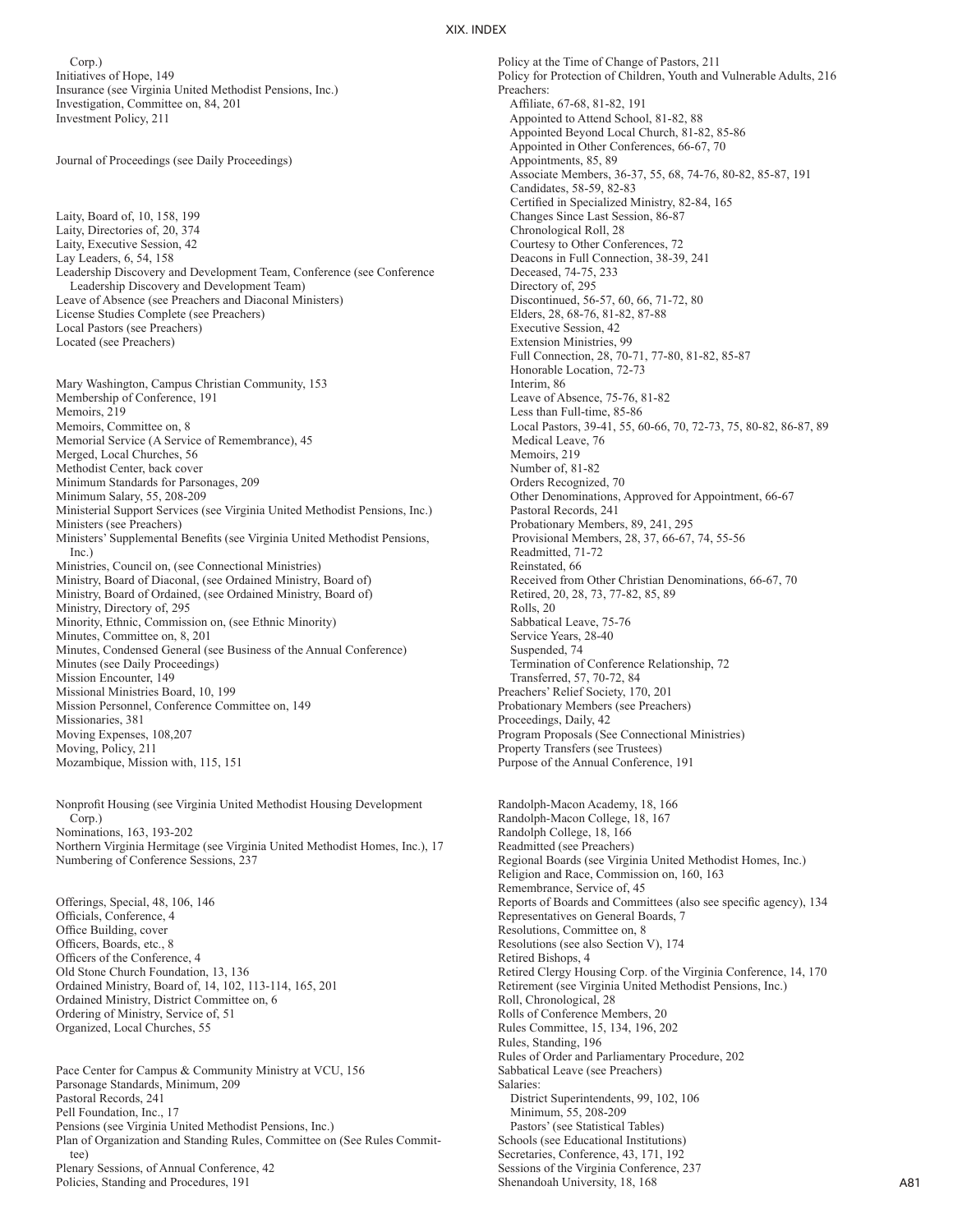Corp.) Initiatives of Hope, 149 Insurance (see Virginia United Methodist Pensions, Inc.) Investigation, Committee on, 84, 201 Investment Policy, 211

Journal of Proceedings (see Daily Proceedings)

Laity, Board of, 10, 158, 199 Laity, Directories of, 20, 374 Laity, Executive Session, 42 Lay Leaders, 6, 54, 158 Leadership Discovery and Development Team, Conference (see Conference Leadership Discovery and Development Team) Leave of Absence (see Preachers and Diaconal Ministers) License Studies Complete (see Preachers) Local Pastors (see Preachers) Located (see Preachers)

Mary Washington, Campus Christian Community, 153 Membership of Conference, 191 Memoirs, 219 Memoirs, Committee on, 8 Memorial Service (A Service of Remembrance), 45 Merged, Local Churches, 56 Methodist Center, back cover Minimum Standards for Parsonages, 209 Minimum Salary, 55, 208-209 Ministerial Support Services (see Virginia United Methodist Pensions, Inc.) Ministers (see Preachers) Ministers' Supplemental Benefits (see Virginia United Methodist Pensions, Inc.) Ministries, Council on, (see Connectional Ministries) Ministry, Board of Diaconal, (see Ordained Ministry, Board of) Ministry, Board of Ordained, (see Ordained Ministry, Board of) Ministry, Directory of, 295 Minority, Ethnic, Commission on, (see Ethnic Minority) Minutes, Committee on, 8, 201 Minutes, Condensed General (see Business of the Annual Conference) Minutes (see Daily Proceedings) Mission Encounter, 149 Missional Ministries Board, 10, 199 Mission Personnel, Conference Committee on, 149 Missionaries, 381 Moving Expenses, 108,207 Moving, Policy, 211 Mozambique, Mission with, 115, 151

Nonprofit Housing (see Virginia United Methodist Housing Development Corp.) Nominations, 163, 193-202 Northern Virginia Hermitage (see Virginia United Methodist Homes, Inc.), 17 Numbering of Conference Sessions, 237

Offerings, Special, 48, 106, 146 Officials, Conference, 4 Office Building, cover Officers, Boards, etc., 8 Officers of the Conference, 4 Old Stone Church Foundation, 13, 136 Ordained Ministry, Board of, 14, 102, 113-114, 165, 201 Ordained Ministry, District Committee on, 6 Ordering of Ministry, Service of, 51 Organized, Local Churches, 55

Pace Center for Campus & Community Ministry at VCU, 156 Parsonage Standards, Minimum, 209 Pastoral Records, 241 Pell Foundation, Inc., 17 Pensions (see Virginia United Methodist Pensions, Inc.) Plan of Organization and Standing Rules, Committee on (See Rules Committee) Plenary Sessions, of Annual Conference, 42 Policies, Standing and Procedures, 191

Policy at the Time of Change of Pastors, 211 Policy for Protection of Children, Youth and Vulnerable Adults, 216 Preachers: Affiliate, 67-68, 81-82, 191 Appointed to Attend School, 81-82, 88 Appointed Beyond Local Church, 81-82, 85-86 Appointed in Other Conferences, 66-67, 70 Appointments, 85, 89 Associate Members, 36-37, 55, 68, 74-76, 80-82, 85-87, 191 Candidates, 58-59, 82-83 Certified in Specialized Ministry, 82-84, 165 Changes Since Last Session, 86-87 Chronological Roll, 28 Courtesy to Other Conferences, 72 Deacons in Full Connection, 38-39, 241 Deceased, 74-75, 233 Directory of, 295 Discontinued, 56-57, 60, 66, 71-72, 80 Elders, 28, 68-76, 81-82, 87-88 Executive Session, 42 Extension Ministries, 99 Full Connection, 28, 70-71, 77-80, 81-82, 85-87 Honorable Location, 72-73 Interim, 86 Leave of Absence, 75-76, 81-82 Less than Full-time, 85-86 Local Pastors, 39-41, 55, 60-66, 70, 72-73, 75, 80-82, 86-87, 89 Medical Leave, 76 Memoirs, 219 Number of, 81-82 Orders Recognized, 70 Other Denominations, Approved for Appointment, 66-67 Pastoral Records, 241 Probationary Members, 89, 241, 295 Provisional Members, 28, 37, 66-67, 74, 55-56 Readmitted, 71-72 Reinstated, 66 Received from Other Christian Denominations, 66-67, 70 Retired, 20, 28, 73, 77-82, 85, 89 Rolls, 20 Sabbatical Leave, 75-76 Service Years, 28-40 Suspended, 74 Termination of Conference Relationship, 72 Transferred, 57, 70-72, 84 Preachers' Relief Society, 170, 201 Probationary Members (see Preachers) Proceedings, Daily, 42 Program Proposals (See Connectional Ministries) Property Transfers (see Trustees) Purpose of the Annual Conference, 191

Randolph-Macon Academy, 18, 166 Randolph-Macon College, 18, 167 Randolph College, 18, 166 Readmitted (see Preachers) Regional Boards (see Virginia United Methodist Homes, Inc.) Religion and Race, Commission on, 160, 163 Remembrance, Service of, 45 Reports of Boards and Committees (also see specific agency), 134 Representatives on General Boards, 7 Resolutions, Committee on, 8 Resolutions (see also Section V), 174 Retired Bishops, 4 Retired Clergy Housing Corp. of the Virginia Conference, 14, 170 Retirement (see Virginia United Methodist Pensions, Inc.) Roll, Chronological, 28 Rolls of Conference Members, 20 Rules Committee, 15, 134, 196, 202 Rules, Standing, 196 Rules of Order and Parliamentary Procedure, 202 Sabbatical Leave (see Preachers) Salaries: District Superintendents, 99, 102, 106 Minimum, 55, 208-209 Pastors' (see Statistical Tables) Schools (see Educational Institutions) Secretaries, Conference, 43, 171, 192 Sessions of the Virginia Conference, 237 Shenandoah University, 18, 168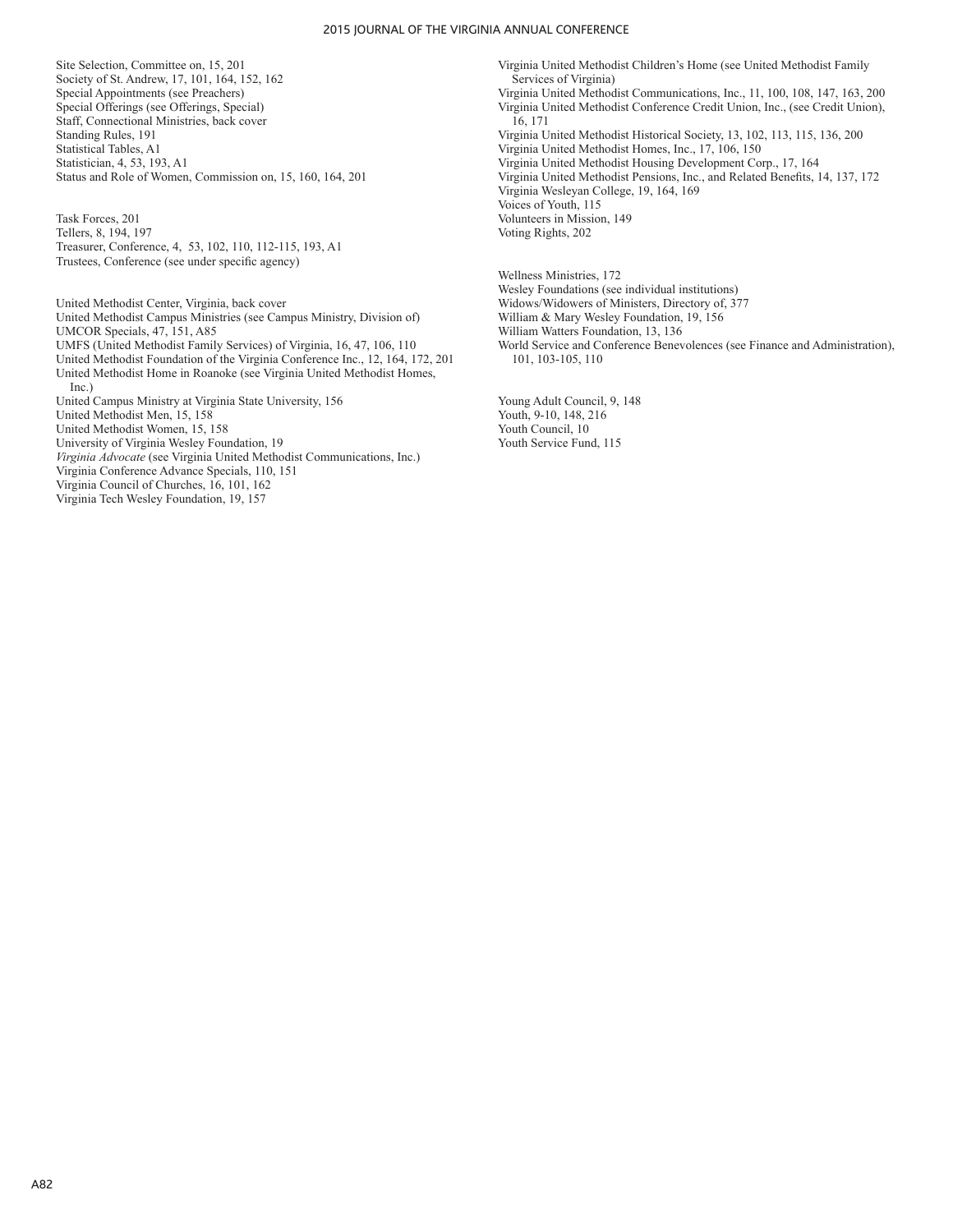#### 2015 JOURNAL OF THE VIRGINIA ANNUAL CONFERENCE

Site Selection, Committee on, 15, 201 Society of St. Andrew, 17, 101, 164, 152, 162 Special Appointments (see Preachers) Special Offerings (see Offerings, Special) Staff, Connectional Ministries, back cover Standing Rules, 191 Statistical Tables, A1 Statistician, 4, 53, 193, A1 Status and Role of Women, Commission on, 15, 160, 164, 201

Task Forces, 201 Tellers, 8, 194, 197 Treasurer, Conference, 4, 53, 102, 110, 112-115, 193, A1 Trustees, Conference (see under specific agency)

United Methodist Center, Virginia, back cover United Methodist Campus Ministries (see Campus Ministry, Division of) UMCOR Specials, 47, 151, A85 UMFS (United Methodist Family Services) of Virginia, 16, 47, 106, 110 United Methodist Foundation of the Virginia Conference Inc., 12, 164, 172, 201 United Methodist Home in Roanoke (see Virginia United Methodist Homes, Inc.) United Campus Ministry at Virginia State University, 156 United Methodist Men, 15, 158 United Methodist Women, 15, 158 University of Virginia Wesley Foundation, 19 *Virginia Advocate* (see Virginia United Methodist Communications, Inc.) Virginia Conference Advance Specials, 110, 151 Virginia Council of Churches, 16, 101, 162 Virginia Tech Wesley Foundation, 19, 157

Virginia United Methodist Children's Home (see United Methodist Family Services of Virginia) Virginia United Methodist Communications, Inc., 11, 100, 108, 147, 163, 200 Virginia United Methodist Conference Credit Union, Inc., (see Credit Union), 16, 171 Virginia United Methodist Historical Society, 13, 102, 113, 115, 136, 200 Virginia United Methodist Homes, Inc., 17, 106, 150 Virginia United Methodist Housing Development Corp., 17, 164 Virginia United Methodist Pensions, Inc., and Related Benefits, 14, 137, 172 Virginia Wesleyan College, 19, 164, 169 Voices of Youth, 115 Volunteers in Mission, 149 Voting Rights, 202

Wellness Ministries, 172 Wesley Foundations (see individual institutions) Widows/Widowers of Ministers, Directory of, 377 William & Mary Wesley Foundation, 19, 156 William Watters Foundation, 13, 136 World Service and Conference Benevolences (see Finance and Administration), 101, 103-105, 110

Young Adult Council, 9, 148 Youth, 9-10, 148, 216 Youth Council, 10 Youth Service Fund, 115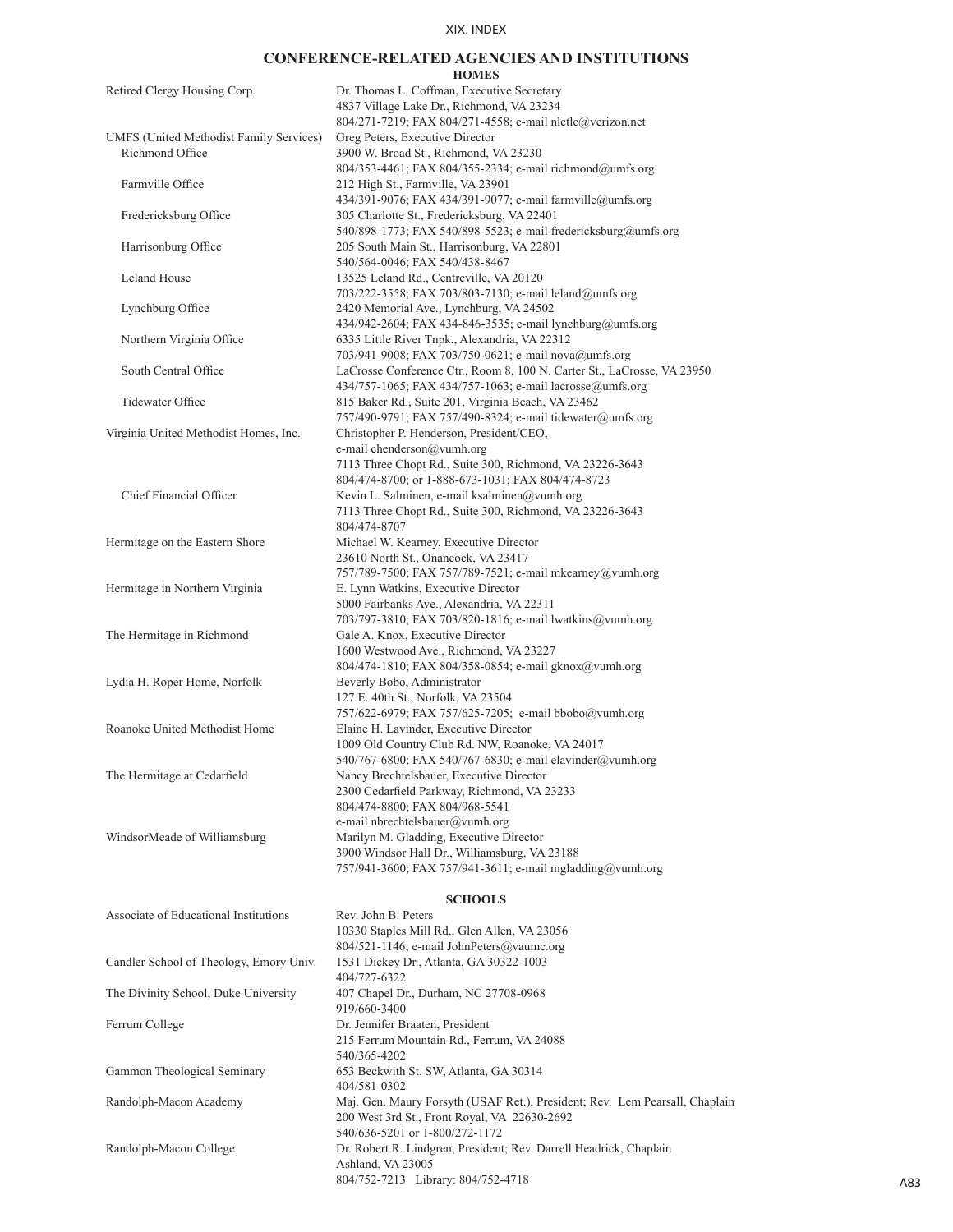# **CONFERENCE-RELATED AGENCIES AND INSTITUTIONS**

| Retired Clergy Housing Corp.            | Dr. Thomas L. Coffman, Executive Secretary<br>4837 Village Lake Dr., Richmond, VA 23234<br>804/271-7219; FAX 804/271-4558; e-mail nlctlc@verizon.net  |
|-----------------------------------------|-------------------------------------------------------------------------------------------------------------------------------------------------------|
| UMFS (United Methodist Family Services) | Greg Peters, Executive Director                                                                                                                       |
| Richmond Office                         | 3900 W. Broad St., Richmond, VA 23230<br>804/353-4461; FAX 804/355-2334; e-mail richmond@umfs.org                                                     |
| Farmville Office                        | 212 High St., Farmville, VA 23901<br>434/391-9076; FAX 434/391-9077; e-mail farmville@umfs.org                                                        |
| Fredericksburg Office                   | 305 Charlotte St., Fredericksburg, VA 22401<br>540/898-1773; FAX 540/898-5523; e-mail fredericksburg@umfs.org                                         |
| Harrisonburg Office                     | 205 South Main St., Harrisonburg, VA 22801<br>540/564-0046; FAX 540/438-8467                                                                          |
| Leland House                            | 13525 Leland Rd., Centreville, VA 20120<br>703/222-3558; FAX 703/803-7130; e-mail leland@umfs.org                                                     |
| Lynchburg Office                        | 2420 Memorial Ave., Lynchburg, VA 24502<br>434/942-2604; FAX 434-846-3535; e-mail lynchburg@umfs.org                                                  |
| Northern Virginia Office                | 6335 Little River Tnpk., Alexandria, VA 22312<br>703/941-9008; FAX 703/750-0621; e-mail nova@umfs.org                                                 |
| South Central Office                    | LaCrosse Conference Ctr., Room 8, 100 N. Carter St., LaCrosse, VA 23950<br>434/757-1065; FAX 434/757-1063; e-mail lacrosse@umfs.org                   |
| Tidewater Office                        | 815 Baker Rd., Suite 201, Virginia Beach, VA 23462<br>757/490-9791; FAX 757/490-8324; e-mail tidewater@umfs.org                                       |
| Virginia United Methodist Homes, Inc.   | Christopher P. Henderson, President/CEO,<br>e-mail chenderson@vumh.org                                                                                |
|                                         | 7113 Three Chopt Rd., Suite 300, Richmond, VA 23226-3643<br>804/474-8700; or 1-888-673-1031; FAX 804/474-8723                                         |
| Chief Financial Officer                 | Kevin L. Salminen, e-mail ksalminen@vumh.org<br>7113 Three Chopt Rd., Suite 300, Richmond, VA 23226-3643<br>804/474-8707                              |
| Hermitage on the Eastern Shore          | Michael W. Kearney, Executive Director<br>23610 North St., Onancock, VA 23417                                                                         |
| Hermitage in Northern Virginia          | 757/789-7500; FAX 757/789-7521; e-mail mkearney@vumh.org<br>E. Lynn Watkins, Executive Director                                                       |
|                                         | 5000 Fairbanks Ave., Alexandria, VA 22311<br>703/797-3810; FAX 703/820-1816; e-mail lwatkins@vumh.org                                                 |
| The Hermitage in Richmond               | Gale A. Knox, Executive Director<br>1600 Westwood Ave., Richmond, VA 23227<br>804/474-1810; FAX 804/358-0854; e-mail gknox@vumh.org                   |
| Lydia H. Roper Home, Norfolk            | Beverly Bobo, Administrator<br>127 E. 40th St., Norfolk, VA 23504                                                                                     |
| Roanoke United Methodist Home           | 757/622-6979; FAX 757/625-7205; e-mail bbobo@vumh.org<br>Elaine H. Lavinder, Executive Director<br>1009 Old Country Club Rd. NW, Roanoke, VA 24017    |
| The Hermitage at Cedarfield             | 540/767-6800; FAX 540/767-6830; e-mail elavinder@vumh.org<br>Nancy Brechtelsbauer, Executive Director<br>2300 Cedarfield Parkway, Richmond, VA 23233  |
|                                         | 804/474-8800; FAX 804/968-5541<br>e-mail nbrechtelsbauer@vumh.org                                                                                     |
| WindsorMeade of Williamsburg            | Marilyn M. Gladding, Executive Director<br>3900 Windsor Hall Dr., Williamsburg, VA 23188<br>757/941-3600; FAX 757/941-3611; e-mail mgladding@vumh.org |
|                                         |                                                                                                                                                       |

#### **SCHOOLS**

| Associate of Educational Institutions   | Rev. John B. Peters                                                         |
|-----------------------------------------|-----------------------------------------------------------------------------|
|                                         | 10330 Staples Mill Rd., Glen Allen, VA 23056                                |
|                                         | 804/521-1146; e-mail JohnPeters@vaumc.org                                   |
| Candler School of Theology, Emory Univ. | 1531 Dickey Dr., Atlanta, GA 30322-1003                                     |
|                                         | 404/727-6322                                                                |
| The Divinity School, Duke University    | 407 Chapel Dr., Durham, NC 27708-0968                                       |
|                                         | 919/660-3400                                                                |
| Ferrum College                          | Dr. Jennifer Braaten, President                                             |
|                                         | 215 Ferrum Mountain Rd., Ferrum, VA 24088                                   |
|                                         | 540/365-4202                                                                |
| Gammon Theological Seminary             | 653 Beckwith St. SW, Atlanta, GA 30314                                      |
|                                         | 404/581-0302                                                                |
| Randolph-Macon Academy                  | Maj. Gen. Maury Forsyth (USAF Ret.), President; Rev. Lem Pearsall, Chaplain |
|                                         | 200 West 3rd St., Front Royal, VA 22630-2692                                |
|                                         | 540/636-5201 or 1-800/272-1172                                              |
| Randolph-Macon College                  | Dr. Robert R. Lindgren, President; Rev. Darrell Headrick, Chaplain          |
|                                         | Ashland, VA 23005                                                           |
|                                         | 804/752-7213 Library: 804/752-4718                                          |
|                                         |                                                                             |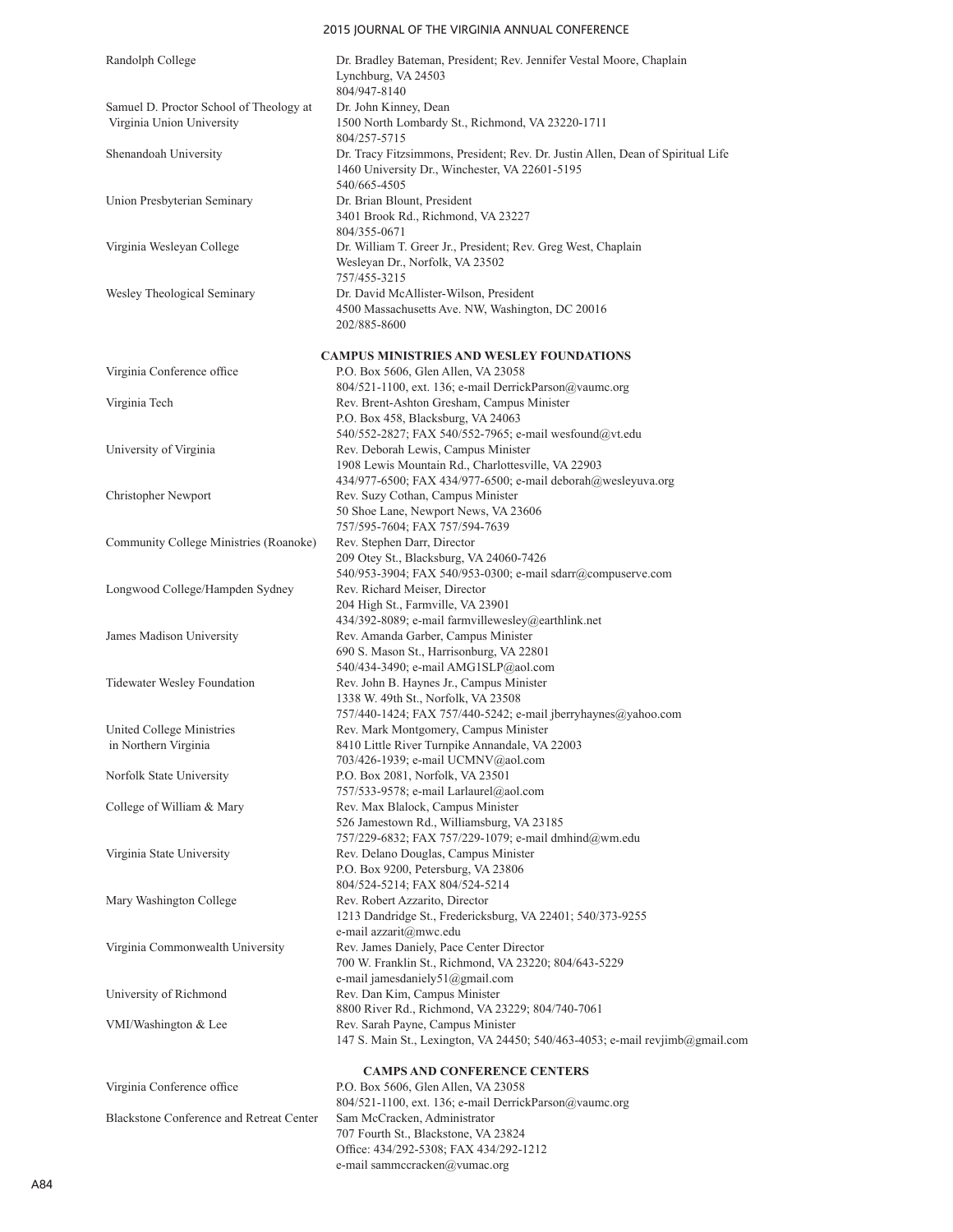## 2015 JOURNAL OF THE VIRGINIA ANNUAL CONFERENCE

| Randolph College                                                     | Dr. Bradley Bateman, President; Rev. Jennifer Vestal Moore, Chaplain<br>Lynchburg, VA 24503                                                                             |
|----------------------------------------------------------------------|-------------------------------------------------------------------------------------------------------------------------------------------------------------------------|
|                                                                      | 804/947-8140                                                                                                                                                            |
| Samuel D. Proctor School of Theology at<br>Virginia Union University | Dr. John Kinney, Dean<br>1500 North Lombardy St., Richmond, VA 23220-1711<br>804/257-5715                                                                               |
| Shenandoah University                                                | Dr. Tracy Fitzsimmons, President; Rev. Dr. Justin Allen, Dean of Spiritual Life<br>1460 University Dr., Winchester, VA 22601-5195<br>540/665-4505                       |
| Union Presbyterian Seminary                                          | Dr. Brian Blount, President<br>3401 Brook Rd., Richmond, VA 23227<br>804/355-0671                                                                                       |
| Virginia Wesleyan College                                            | Dr. William T. Greer Jr., President; Rev. Greg West, Chaplain<br>Wesleyan Dr., Norfolk, VA 23502<br>757/455-3215                                                        |
| Wesley Theological Seminary                                          | Dr. David McAllister-Wilson, President<br>4500 Massachusetts Ave. NW, Washington, DC 20016<br>202/885-8600                                                              |
|                                                                      | <b>CAMPUS MINISTRIES AND WESLEY FOUNDATIONS</b>                                                                                                                         |
| Virginia Conference office                                           | P.O. Box 5606, Glen Allen, VA 23058<br>804/521-1100, ext. 136; e-mail DerrickParson@vaumc.org                                                                           |
| Virginia Tech                                                        | Rev. Brent-Ashton Gresham, Campus Minister<br>P.O. Box 458, Blacksburg, VA 24063                                                                                        |
| University of Virginia                                               | 540/552-2827; FAX 540/552-7965; e-mail wesfound@vt.edu<br>Rev. Deborah Lewis, Campus Minister<br>1908 Lewis Mountain Rd., Charlottesville, VA 22903                     |
| Christopher Newport                                                  | 434/977-6500; FAX 434/977-6500; e-mail deborah@wesleyuva.org<br>Rev. Suzy Cothan, Campus Minister<br>50 Shoe Lane, Newport News, VA 23606                               |
| Community College Ministries (Roanoke)                               | 757/595-7604; FAX 757/594-7639<br>Rev. Stephen Darr, Director<br>209 Otey St., Blacksburg, VA 24060-7426<br>540/953-3904; FAX 540/953-0300; e-mail sdarr@compuserve.com |
| Longwood College/Hampden Sydney                                      | Rev. Richard Meiser, Director<br>204 High St., Farmville, VA 23901<br>434/392-8089; e-mail farmvillewesley@earthlink.net                                                |
| James Madison University                                             | Rev. Amanda Garber, Campus Minister<br>690 S. Mason St., Harrisonburg, VA 22801<br>540/434-3490; e-mail AMG1SLP@aol.com                                                 |
| Tidewater Wesley Foundation                                          | Rev. John B. Haynes Jr., Campus Minister<br>1338 W. 49th St., Norfolk, VA 23508<br>757/440-1424; FAX 757/440-5242; e-mail jberryhaynes@yahoo.com                        |
| United College Ministries                                            | Rev. Mark Montgomery, Campus Minister                                                                                                                                   |
| in Northern Virginia                                                 | 8410 Little River Turnpike Annandale, VA 22003                                                                                                                          |
| Norfolk State University                                             | 703/426-1939; e-mail UCMNV@aol.com<br>P.O. Box 2081, Norfolk, VA 23501                                                                                                  |
|                                                                      | 757/533-9578; e-mail Larlaurel@aol.com                                                                                                                                  |
| College of William & Mary                                            | Rev. Max Blalock, Campus Minister<br>526 Jamestown Rd., Williamsburg, VA 23185                                                                                          |
|                                                                      | 757/229-6832; FAX 757/229-1079; e-mail dmhind@wm.edu                                                                                                                    |
| Virginia State University                                            | Rev. Delano Douglas, Campus Minister<br>P.O. Box 9200, Petersburg, VA 23806                                                                                             |
| Mary Washington College                                              | 804/524-5214; FAX 804/524-5214<br>Rev. Robert Azzarito, Director<br>1213 Dandridge St., Fredericksburg, VA 22401; 540/373-9255                                          |
| Virginia Commonwealth University                                     | e-mail azzarit@mwc.edu<br>Rev. James Daniely, Pace Center Director<br>700 W. Franklin St., Richmond, VA 23220; 804/643-5229                                             |
| University of Richmond                                               | e-mail jamesdaniely51@gmail.com<br>Rev. Dan Kim, Campus Minister<br>8800 River Rd., Richmond, VA 23229; 804/740-7061                                                    |
| VMI/Washington & Lee                                                 | Rev. Sarah Payne, Campus Minister<br>147 S. Main St., Lexington, VA 24450; 540/463-4053; e-mail revjimb@gmail.com                                                       |
|                                                                      | <b>CAMPS AND CONFERENCE CENTERS</b>                                                                                                                                     |
| Virginia Conference office                                           | P.O. Box 5606, Glen Allen, VA 23058<br>804/521-1100, ext. 136; e-mail DerrickParson@vaumc.org                                                                           |
| Blackstone Conference and Retreat Center                             | Sam McCracken, Administrator<br>707 Fourth St., Blackstone, VA 23824<br>Office: 434/292-5308; FAX 434/292-1212                                                          |
|                                                                      | e-mail sammccracken@vumac.org                                                                                                                                           |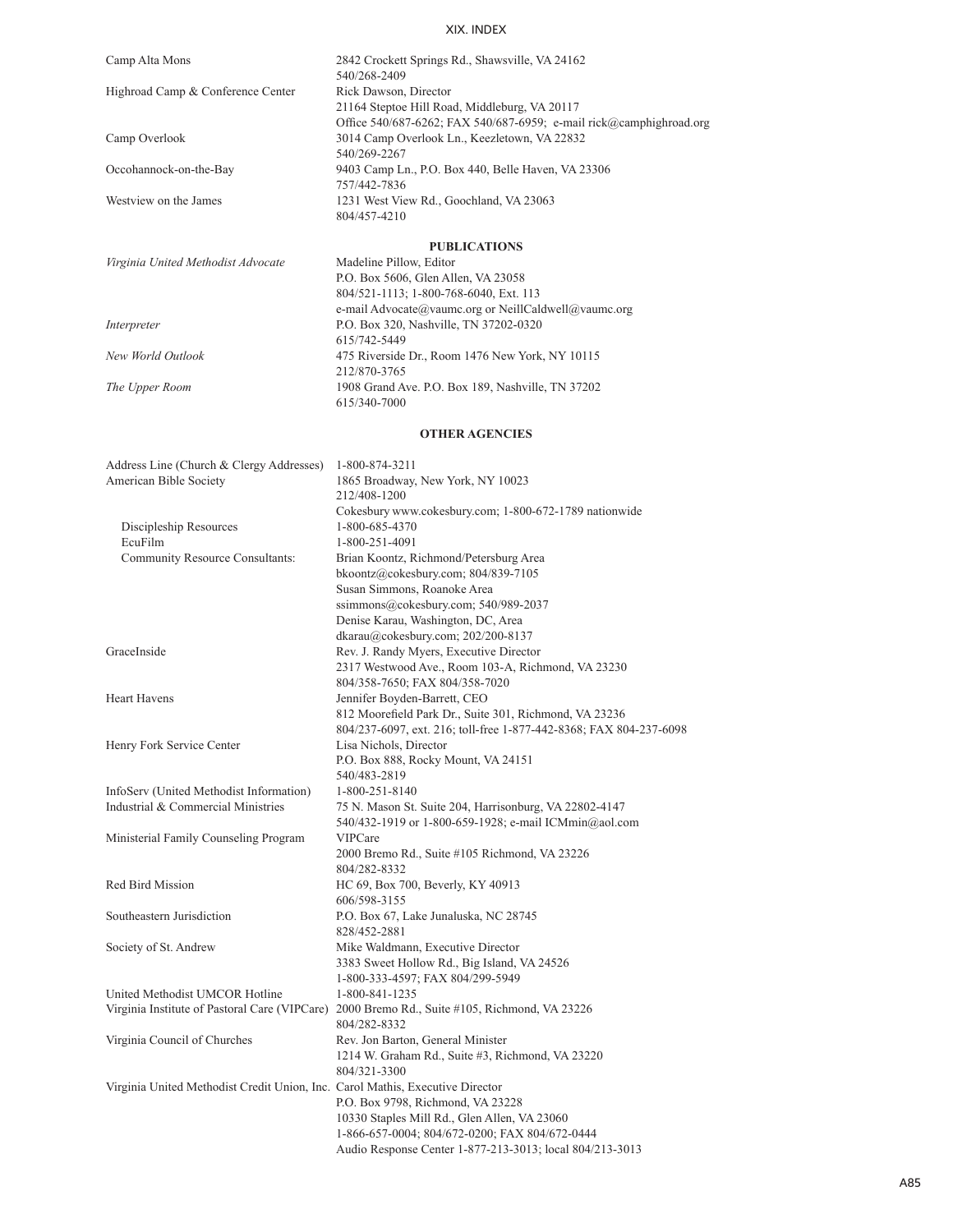| Camp Alta Mons                    | 2842 Crockett Springs Rd., Shawsville, VA 24162                     |
|-----------------------------------|---------------------------------------------------------------------|
|                                   | 540/268-2409                                                        |
| Highroad Camp & Conference Center | Rick Dawson, Director                                               |
|                                   | 21164 Steptoe Hill Road, Middleburg, VA 20117                       |
|                                   | Office 540/687-6262; FAX 540/687-6959; e-mail rick@camphighroad.org |
| Camp Overlook                     | 3014 Camp Overlook Ln., Keezletown, VA 22832                        |
|                                   | 540/269-2267                                                        |
| Occohannock-on-the-Bay            | 9403 Camp Ln., P.O. Box 440, Belle Haven, VA 23306                  |
|                                   | 757/442-7836                                                        |
| Westview on the James             | 1231 West View Rd., Goochland, VA 23063                             |
|                                   | 804/457-4210                                                        |
|                                   |                                                                     |

#### **PUBLICATIONS**

| Virginia United Methodist Advocate | Madeline Pillow, Editor                              |
|------------------------------------|------------------------------------------------------|
|                                    | P.O. Box 5606, Glen Allen, VA 23058                  |
|                                    | 804/521-1113; 1-800-768-6040, Ext. 113               |
|                                    | e-mail Advocate@vaumc.org or NeillCaldwell@vaumc.org |
| Interpreter                        | P.O. Box 320, Nashville, TN 37202-0320               |
|                                    | 615/742-5449                                         |
| New World Outlook                  | 475 Riverside Dr., Room 1476 New York, NY 10115      |
|                                    | 212/870-3765                                         |
| The Upper Room                     | 1908 Grand Ave. P.O. Box 189, Nashville, TN 37202    |
|                                    | 615/340-7000                                         |
|                                    |                                                      |

## **OTHER AGENCIES**

| Address Line (Church & Clergy Addresses)                                      | 1-800-874-3211                                                                               |
|-------------------------------------------------------------------------------|----------------------------------------------------------------------------------------------|
| American Bible Society                                                        | 1865 Broadway, New York, NY 10023                                                            |
|                                                                               | 212/408-1200                                                                                 |
|                                                                               | Cokesbury www.cokesbury.com; 1-800-672-1789 nationwide                                       |
| Discipleship Resources                                                        | 1-800-685-4370                                                                               |
| EcuFilm                                                                       | 1-800-251-4091                                                                               |
| <b>Community Resource Consultants:</b>                                        | Brian Koontz, Richmond/Petersburg Area                                                       |
|                                                                               | bkoontz@cokesbury.com; 804/839-7105                                                          |
|                                                                               | Susan Simmons, Roanoke Area                                                                  |
|                                                                               | ssimmons@cokesbury.com; 540/989-2037                                                         |
|                                                                               | Denise Karau, Washington, DC, Area                                                           |
|                                                                               | dkarau@cokesbury.com; 202/200-8137                                                           |
| GraceInside                                                                   | Rev. J. Randy Myers, Executive Director                                                      |
|                                                                               | 2317 Westwood Ave., Room 103-A, Richmond, VA 23230                                           |
|                                                                               | 804/358-7650; FAX 804/358-7020                                                               |
| <b>Heart Havens</b>                                                           | Jennifer Boyden-Barrett, CEO                                                                 |
|                                                                               | 812 Moorefield Park Dr., Suite 301, Richmond, VA 23236                                       |
|                                                                               | 804/237-6097, ext. 216; toll-free 1-877-442-8368; FAX 804-237-6098                           |
| Henry Fork Service Center                                                     | Lisa Nichols, Director                                                                       |
|                                                                               | P.O. Box 888, Rocky Mount, VA 24151                                                          |
|                                                                               | 540/483-2819                                                                                 |
| InfoServ (United Methodist Information)                                       | 1-800-251-8140                                                                               |
| Industrial & Commercial Ministries                                            | 75 N. Mason St. Suite 204, Harrisonburg, VA 22802-4147                                       |
|                                                                               | 540/432-1919 or 1-800-659-1928; e-mail ICMmin@aol.com                                        |
| Ministerial Family Counseling Program                                         | <b>VIPCare</b>                                                                               |
|                                                                               | 2000 Bremo Rd., Suite #105 Richmond, VA 23226                                                |
|                                                                               | 804/282-8332                                                                                 |
| Red Bird Mission                                                              | HC 69, Box 700, Beverly, KY 40913                                                            |
|                                                                               | 606/598-3155                                                                                 |
| Southeastern Jurisdiction                                                     | P.O. Box 67, Lake Junaluska, NC 28745<br>828/452-2881                                        |
| Society of St. Andrew                                                         | Mike Waldmann, Executive Director                                                            |
|                                                                               | 3383 Sweet Hollow Rd., Big Island, VA 24526                                                  |
|                                                                               | 1-800-333-4597; FAX 804/299-5949                                                             |
| United Methodist UMCOR Hotline                                                | 1-800-841-1235                                                                               |
|                                                                               | Virginia Institute of Pastoral Care (VIPCare) 2000 Bremo Rd., Suite #105, Richmond, VA 23226 |
|                                                                               | 804/282-8332                                                                                 |
| Virginia Council of Churches                                                  | Rev. Jon Barton, General Minister                                                            |
|                                                                               | 1214 W. Graham Rd., Suite #3, Richmond, VA 23220                                             |
|                                                                               | 804/321-3300                                                                                 |
| Virginia United Methodist Credit Union, Inc. Carol Mathis, Executive Director |                                                                                              |
|                                                                               | P.O. Box 9798, Richmond, VA 23228                                                            |
|                                                                               | 10330 Staples Mill Rd., Glen Allen, VA 23060                                                 |
|                                                                               | 1-866-657-0004; 804/672-0200; FAX 804/672-0444                                               |
|                                                                               | Audio Response Center 1-877-213-3013; local 804/213-3013                                     |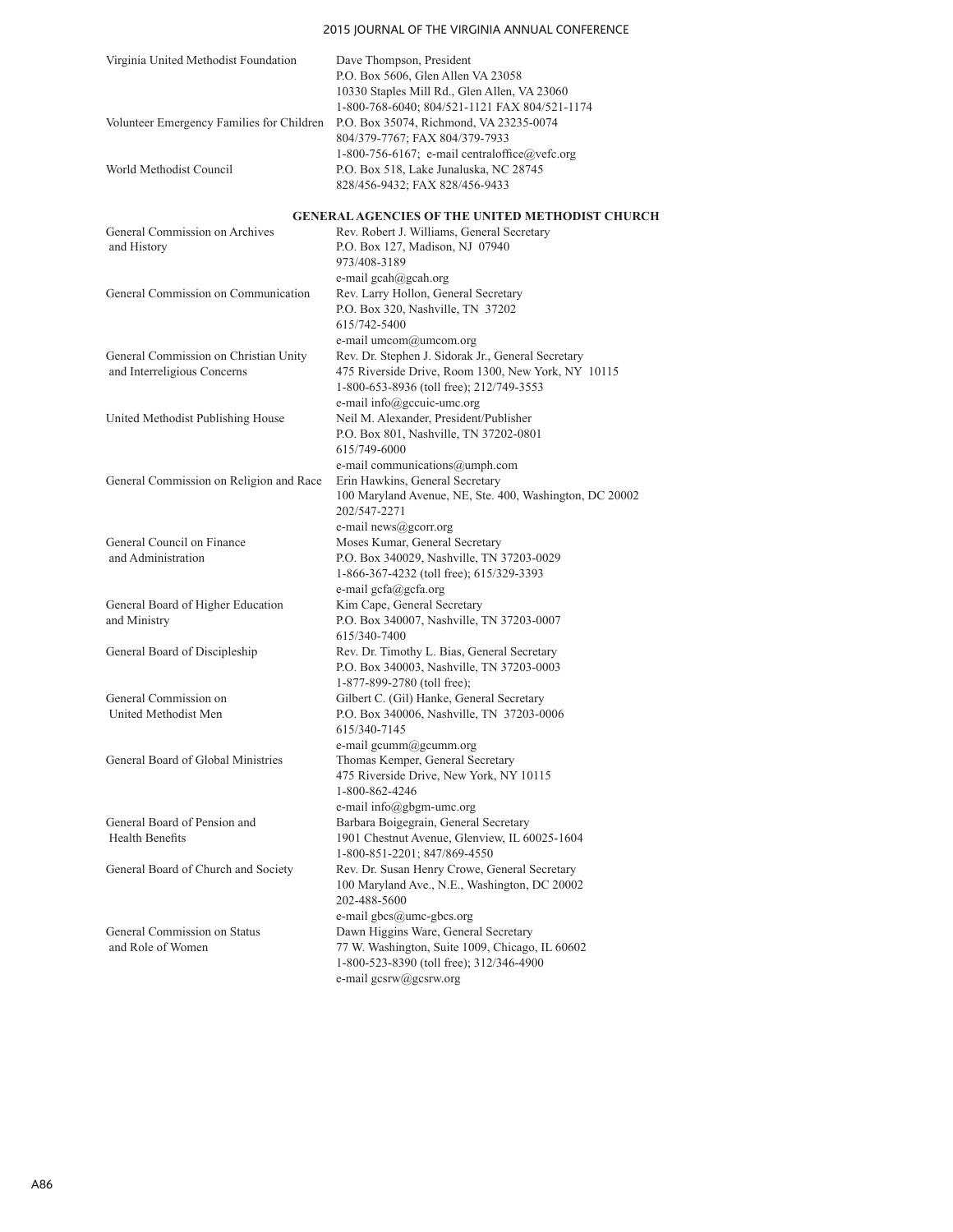## Virginia United Methodist Foundation Dave Thompson, President P.O. Box 5606, Glen Allen VA 23058 10330 Staples Mill Rd., Glen Allen, VA 23060 1-800-768-6040; 804/521-1121 FAX 804/521-1174 Volunteer Emergency Families for Children P.O. Box 35074, Richmond, VA 23235-0074 804/379-7767; FAX 804/379-7933 1-800-756-6167; e-mail centraloffice@vefc.org World Methodist Council P.O. Box 518, Lake Junaluska, NC 28745 828/456-9432; FAX 828/456-9433 **GENERAL AGENCIES OF THE UNITED METHODIST CHURCH** General Commission on Archives Rev. Robert J. Williams, General Secretary and History P.O. Box 127, Madison, NJ 07940 973/408-3189 e-mail gcah@gcah.org General Commission on Communication Rev. Larry Hollon, General Secretary P.O. Box 320, Nashville, TN 37202 615/742-5400 e-mail umcom@umcom.org General Commission on Christian Unity Rev. Dr. Stephen J. Sidorak Jr., General Secretary and Interreligious Concerns 475 Riverside Drive, Room 1300, New York, NY 10115 1-800-653-8936 (toll free); 212/749-3553 e-mail info@gccuic-umc.org United Methodist Publishing House Neil M. Alexander, President/Publisher P.O. Box 801, Nashville, TN 37202-0801 615/749-6000 e-mail communications@umph.com General Commission on Religion and Race Erin Hawkins, General Secretary 100 Maryland Avenue, NE, Ste. 400, Washington, DC 20002 202/547-2271 e-mail news@gcorr.org General Council on Finance Moses Kumar, General Secretary and Administration P.O. Box 340029, Nashville, TN 37203-0029 1-866-367-4232 (toll free); 615/329-3393 e-mail gcfa@gcfa.org General Board of Higher Education Kim Cape, General Secretary and Ministry P.O. Box 340007, Nashville, TN 37203-0007 615/340-7400 General Board of Discipleship Rev. Dr. Timothy L. Bias, General Secretary P.O. Box 340003, Nashville, TN 37203-0003 1-877-899-2780 (toll free); General Commission on Gilbert C. (Gil) Hanke, General Secretary United Methodist Men P.O. Box 340006, Nashville, TN 37203-0006 615/340-7145 e-mail gcumm@gcumm.org<br>General Board of Global Ministries Thomas Kemper, General Se Thomas Kemper, General Secretary 475 Riverside Drive, New York, NY 10115 1-800-862-4246 e-mail info@gbgm-umc.org General Board of Pension and Barbara Boigegrain, General Secretary<br>
Health Benefits 1901 Chestnut Avenue. Glenview. IL 6 1901 Chestnut Avenue, Glenview, IL 60025-1604 1-800-851-2201; 847/869-4550 General Board of Church and Society Rev. Dr. Susan Henry Crowe, General Secretary 100 Maryland Ave., N.E., Washington, DC 20002 202-488-5600 e-mail gbcs@umc-gbcs.org General Commission on Status Dawn Higgins Ware, General Secretary and Role of Women 77 W. Washington, Suite 1009, Chicago, IL 60602 1-800-523-8390 (toll free); 312/346-4900 e-mail gcsrw@gcsrw.org

2015 JOURNAL OF THE VIRGINIA ANNUAL CONFERENCE

#### A86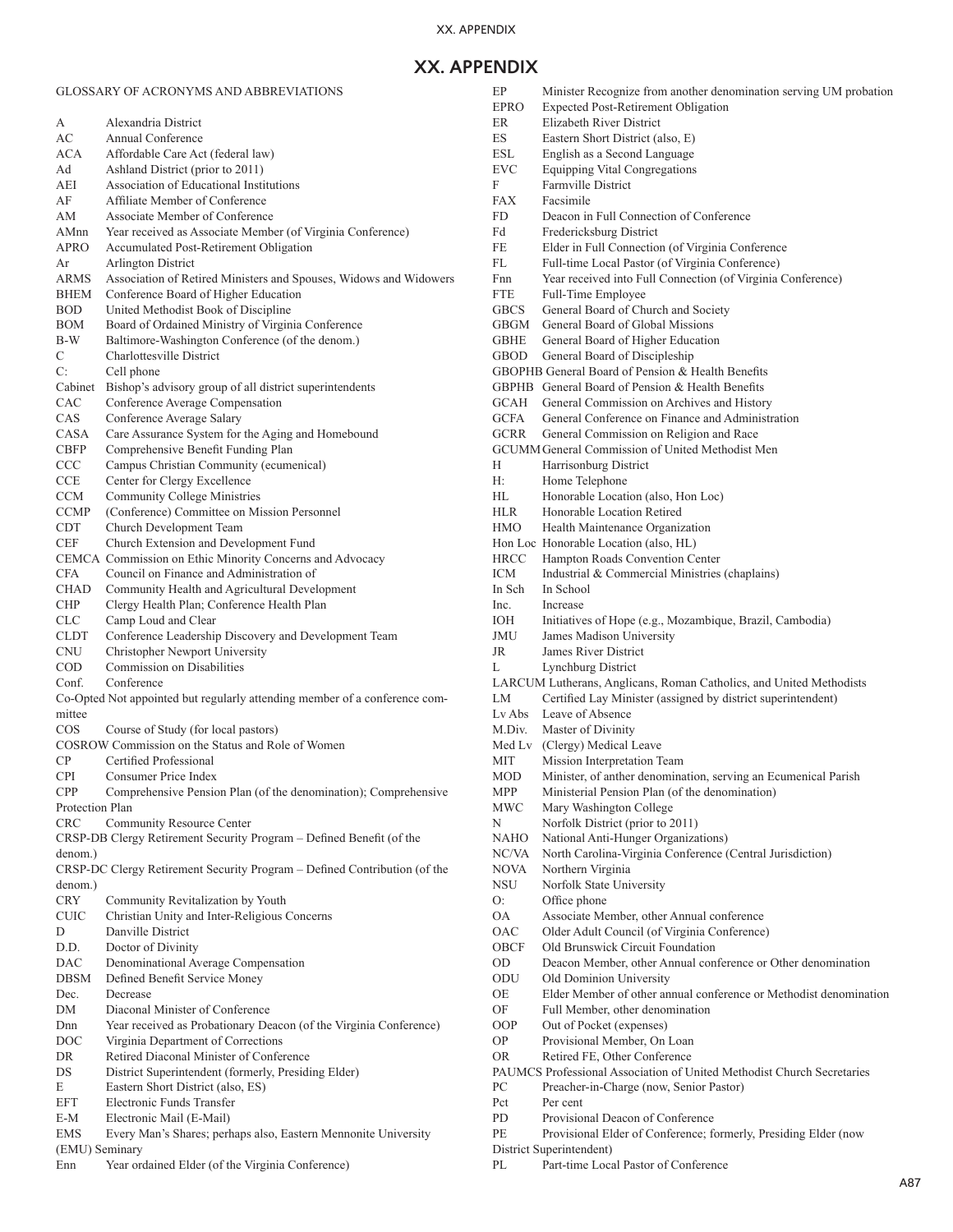# **XX. APPENDIX**

## GLOSSARY OF ACRONYMS AND ABBREVIATIONS

| А                         | Alexandria District                                                                                  |
|---------------------------|------------------------------------------------------------------------------------------------------|
| AC                        | Annual Conference                                                                                    |
| ACA                       | Affordable Care Act (federal law)                                                                    |
| Ad                        | Ashland District (prior to 2011)                                                                     |
| AEI<br>AF                 | Association of Educational Institutions<br>Affiliate Member of Conference                            |
| AM                        | Associate Member of Conference                                                                       |
| AMnn                      | Year received as Associate Member (of Virginia Conference)                                           |
| APRO                      | Accumulated Post-Retirement Obligation                                                               |
| Ar                        | Arlington District                                                                                   |
| <b>ARMS</b>               | Association of Retired Ministers and Spouses, Widows and Widowers                                    |
| <b>BHEM</b>               | Conference Board of Higher Education                                                                 |
| BOD.                      | United Methodist Book of Discipline                                                                  |
| <b>BOM</b>                | Board of Ordained Ministry of Virginia Conference                                                    |
| B-W                       | Baltimore-Washington Conference (of the denom.)                                                      |
| C                         | Charlottesville District                                                                             |
| C:                        | Cell phone                                                                                           |
| Cabinet                   | Bishop's advisory group of all district superintendents                                              |
| CAC                       | Conference Average Compensation                                                                      |
| CAS                       | Conference Average Salary                                                                            |
| CASA                      | Care Assurance System for the Aging and Homebound                                                    |
| <b>CBFP</b>               | Comprehensive Benefit Funding Plan                                                                   |
| <b>CCC</b>                | Campus Christian Community (ecumenical)                                                              |
| <b>CCE</b>                | Center for Clergy Excellence                                                                         |
| <b>CCM</b>                | <b>Community College Ministries</b>                                                                  |
| <b>CCMP</b>               | (Conference) Committee on Mission Personnel                                                          |
| <b>CDT</b>                | Church Development Team                                                                              |
| CEF                       | Church Extension and Development Fund                                                                |
|                           | CEMCA Commission on Ethic Minority Concerns and Advocacy<br>Council on Finance and Administration of |
| <b>CFA</b><br><b>CHAD</b> |                                                                                                      |
| <b>CHP</b>                | Community Health and Agricultural Development<br>Clergy Health Plan; Conference Health Plan          |
| <b>CLC</b>                | Camp Loud and Clear                                                                                  |
| <b>CLDT</b>               | Conference Leadership Discovery and Development Team                                                 |
| <b>CNU</b>                | Christopher Newport University                                                                       |
| <b>COD</b>                | Commission on Disabilities                                                                           |
| Conf.                     | Conference                                                                                           |
|                           | Co-Opted Not appointed but regularly attending member of a conference com-                           |
| mittee                    |                                                                                                      |
| $\cos$                    | Course of Study (for local pastors)                                                                  |
|                           | COSROW Commission on the Status and Role of Women                                                    |
| CP.                       | Certified Professional                                                                               |
| <b>CPI</b>                | Consumer Price Index                                                                                 |
| <b>CPP</b>                | Comprehensive Pension Plan (of the denomination); Comprehensive                                      |
| Protection Plan           |                                                                                                      |
| <b>CRC</b>                | Community Resource Center                                                                            |
|                           | CRSP-DB Clergy Retirement Security Program - Defined Benefit (of the                                 |
| denom.)                   |                                                                                                      |
|                           | CRSP-DC Clergy Retirement Security Program - Defined Contribution (of the                            |
| denom.)                   |                                                                                                      |
| <b>CRY</b>                | Community Revitalization by Youth                                                                    |
| <b>CUIC</b><br>D          | Christian Unity and Inter-Religious Concerns<br>Danville District                                    |
| D.D.                      | Doctor of Divinity                                                                                   |
| <b>DAC</b>                | Denominational Average Compensation                                                                  |
| <b>DBSM</b>               | Defined Benefit Service Money                                                                        |
| Dec.                      | Decrease                                                                                             |
| DM                        | Diaconal Minister of Conference                                                                      |
| Dnn                       | Year received as Probationary Deacon (of the Virginia Conference)                                    |
| DOC                       | Virginia Department of Corrections                                                                   |
| DR                        | Retired Diaconal Minister of Conference                                                              |
| DS                        | District Superintendent (formerly, Presiding Elder)                                                  |
| Е                         | Eastern Short District (also, ES)                                                                    |
| EFT                       | Electronic Funds Transfer                                                                            |
| E-M                       | Electronic Mail (E-Mail)                                                                             |
| <b>EMS</b>                | Every Man's Shares; perhaps also, Eastern Mennonite University                                       |
| (EMU) Seminary            |                                                                                                      |
| Enn                       | Year ordained Elder (of the Virginia Conference)                                                     |

|                    | Minister Recognize from another denomination serving UM probation                         |
|--------------------|-------------------------------------------------------------------------------------------|
| EPRO               | <b>Expected Post-Retirement Obligation</b>                                                |
| ER                 | Elizabeth River District                                                                  |
| ES.                | Eastern Short District (also, E)                                                          |
| ESL                | English as a Second Language                                                              |
| EVC                | <b>Equipping Vital Congregations</b>                                                      |
| F                  | Farmville District                                                                        |
| <b>FAX</b>         | Facsimile                                                                                 |
| FD                 | Deacon in Full Connection of Conference                                                   |
| Fd                 | Fredericksburg District                                                                   |
| FE                 | Elder in Full Connection (of Virginia Conference                                          |
| FL                 | Full-time Local Pastor (of Virginia Conference)                                           |
| Fnn                | Year received into Full Connection (of Virginia Conference)                               |
| <b>FTE</b>         | Full-Time Employee                                                                        |
| <b>GBCS</b>        | General Board of Church and Society                                                       |
| GBGM               | General Board of Global Missions                                                          |
| GBHE               | General Board of Higher Education                                                         |
| GBOD               | General Board of Discipleship                                                             |
|                    | GBOPHB General Board of Pension & Health Benefits                                         |
|                    | GBPHB General Board of Pension & Health Benefits                                          |
| GCAH               | General Commission on Archives and History                                                |
| GCFA               | General Conference on Finance and Administration                                          |
| GCRR               | General Commission on Religion and Race                                                   |
|                    | <b>GCUMM General Commission of United Methodist Men</b>                                   |
| Н                  | Harrisonburg District                                                                     |
| Н:                 | Home Telephone                                                                            |
| HL                 | Honorable Location (also, Hon Loc)                                                        |
| HLR.               | Honorable Location Retired                                                                |
| <b>HMO</b>         | Health Maintenance Organization                                                           |
|                    | Hon Loc Honorable Location (also, HL)                                                     |
| <b>HRCC</b>        | Hampton Roads Convention Center                                                           |
| <b>ICM</b>         | Industrial & Commercial Ministries (chaplains)                                            |
| In Sch             | In School                                                                                 |
| Inc.               | Increase                                                                                  |
| ЮH                 | Initiatives of Hope (e.g., Mozambique, Brazil, Cambodia)                                  |
| JMU                | James Madison University                                                                  |
| JR                 | James River District                                                                      |
| L                  | Lynchburg District                                                                        |
|                    |                                                                                           |
|                    | LARCUM Lutherans, Anglicans, Roman Catholics, and United Methodists                       |
| LM                 | Certified Lay Minister (assigned by district superintendent)                              |
| Lv Abs             | Leave of Absence                                                                          |
| M.Div.             | Master of Divinity                                                                        |
| Med Lv             | (Clergy) Medical Leave                                                                    |
| МIТ                | Mission Interpretation Team                                                               |
| MOD                | Minister, of anther denomination, serving an Ecumenical Parish                            |
| MPP                | Ministerial Pension Plan (of the denomination)                                            |
| MWC                | Mary Washington College                                                                   |
| Ν                  | Norfolk District (prior to 2011)                                                          |
| NAHO               | National Anti-Hunger Organizations)                                                       |
| NC/VA              | North Carolina-Virginia Conference (Central Jurisdiction)                                 |
| NOVA<br><b>NSU</b> | Northern Virginia<br>Norfolk State University                                             |
| O:                 | Office phone                                                                              |
| <b>OA</b>          |                                                                                           |
| OAC                | Associate Member, other Annual conference<br>Older Adult Council (of Virginia Conference) |
| OBCF               | Old Brunswick Circuit Foundation                                                          |
| OD                 | Deacon Member, other Annual conference or Other denomination                              |
| ODU                | Old Dominion University                                                                   |
| ОE                 | Elder Member of other annual conference or Methodist denomination                         |
| OF                 | Full Member, other denomination                                                           |
| <b>OOP</b>         | Out of Pocket (expenses)                                                                  |
| ОP                 | Provisional Member, On Loan                                                               |
| OR                 | Retired FE, Other Conference                                                              |
|                    | PAUMCS Professional Association of United Methodist Church Secretaries                    |
| PC                 | Preacher-in-Charge (now, Senior Pastor)                                                   |
| Pct                | Per cent                                                                                  |
| PD                 | Provisional Deacon of Conference                                                          |
| PE                 | Provisional Elder of Conference; formerly, Presiding Elder (now                           |
| PL                 | District Superintendent)<br>Part-time Local Pastor of Conference                          |